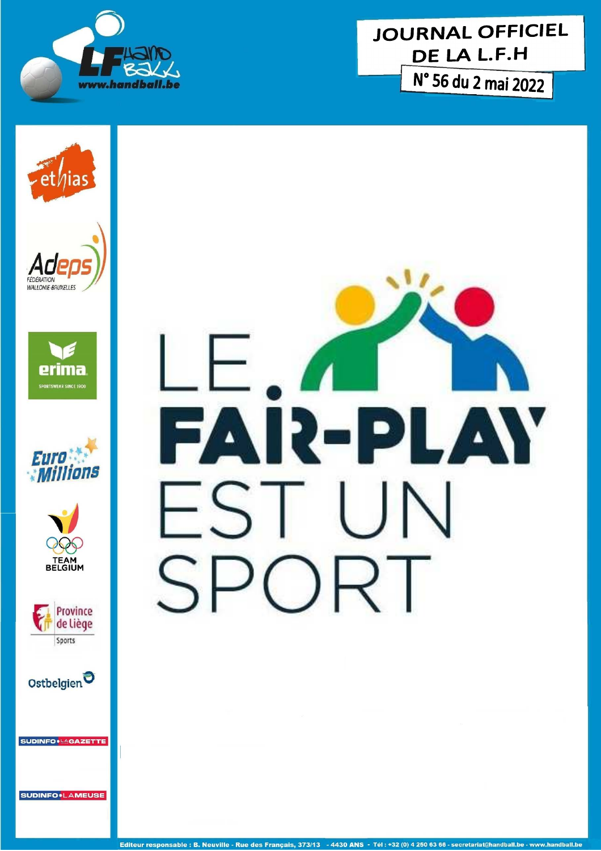















SUDINFO<sup>.</sup>LAGAZETTE

**SUDINFO.LAMEUSE** 

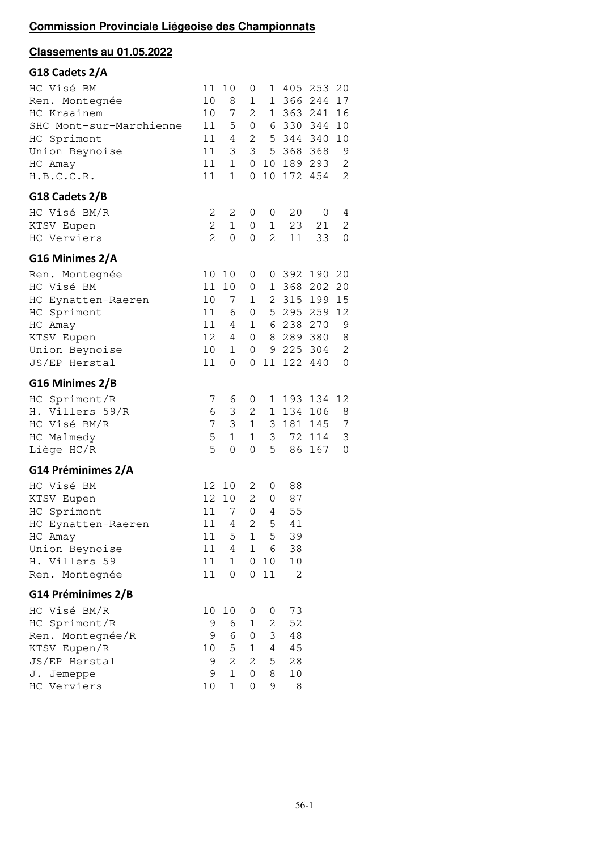# **Classements au 01.05.2022**

| G18 Cadets 2/A          |                |                |                |                     |         |         |              |
|-------------------------|----------------|----------------|----------------|---------------------|---------|---------|--------------|
| HC Visé BM              | 11             | 10             | 0              | 1                   | 405     | 253     | 20           |
| Ren. Montegnée          | 10             | 8              | 1              | 1                   | 366     | 244     | 17           |
| HC Kraainem             | 10             | 7              | 2              | 1                   | 363 241 |         | 16           |
| SHC Mont-sur-Marchienne | 11             | 5              | 0              | 6                   | 330     | 344     | 10           |
| HC Sprimont             | 11             | 4              | 2              | 5                   | 344     | 340     | 10           |
| Union Beynoise          | 11             | 3              | 3              | 5                   | 368     | 368     | 9            |
| HC Amay                 | 11             | $\mathbf{1}$   | $\mathbf 0$    | 10                  | 189     | 293     | 2            |
| H.B.C.C.R.              | 11             | $\mathbf 1$    | 0              | 10                  | 172     | 454     | 2            |
| G18 Cadets 2/B          |                |                |                |                     |         |         |              |
| HC Visé BM/R            | 2              | 2              | 0              | 0                   | 20      | 0       | 4            |
| KTSV Eupen              | 2              | $\mathbf 1$    | 0              | 1                   | 23      | 21      | 2            |
| HC Verviers             | $\overline{2}$ | 0              | 0              | $\overline{c}$      | 11      | 33      | 0            |
| G16 Minimes 2/A         |                |                |                |                     |         |         |              |
| Ren. Montegnée          | 10             | 10             | 0              | 0                   | 392     | 190     | 20           |
| HC Visé BM              | 11             | 10             | 0              | 1                   | 368     | 202     | 20           |
| HC Eynatten-Raeren      | 10             | 7              | $\mathbf{1}$   | 2                   | 315     | 199     | 15           |
| HC Sprimont             | 11             | 6              | $\overline{0}$ | 5                   | 295     | 259     | 12           |
| HC Amay                 | 11             | 4              | $\mathbf{1}$   | 6                   | 238     | 270     | 9            |
| KTSV Eupen              | 12             | 4              | $\overline{0}$ | 8                   |         | 289 380 | 8            |
| Union Beynoise          | 10             | $\mathbf{1}$   | 0              | 9                   |         | 225 304 | $\mathbf{2}$ |
| JS/EP Herstal           | 11             | 0              | 0              | 11                  | 122     | 440     | 0            |
| G16 Minimes 2/B         |                |                |                |                     |         |         |              |
| HC Sprimont/R           | 7              | 6              | 0              | 1                   | 193     | 134     | 12           |
| Η.<br>Villers 59/R      | 6              | 3              | 2              | 1                   | 134     | 106     | 8            |
| HC<br>Visé BM/R         | 7              | 3              | $\mathbf{1}$   | 3                   | 181     | 145     | 7            |
| HC Malmedy              | 5              | $\mathbf{1}$   | 1              | 3                   | 72      | 114     | 3            |
| Liège HC/R              | 5              | $\mathbf 0$    | 0              | 5                   | 86      | 167     | 0            |
| G14 Préminimes 2/A      |                |                |                |                     |         |         |              |
| HC Visé BM              | 12             | 10             | 2              | 0                   | 88      |         |              |
| KTSV Eupen              | 12             | 10             | 2              | $\mathsf{O}\xspace$ | 87      |         |              |
| HC Sprimont             | 11             | 7              | 0              | 4                   | 55      |         |              |
| HC Eynatten-Raeren      | 11             | 4              | 2              | 5                   | 41      |         |              |
| HC Amay                 | 11             | 5              | 1              | 5                   | 39      |         |              |
| Union Beynoise          | 11             | 4              | $\mathbf{1}$   | 6                   | 38      |         |              |
| H. Villers 59           | 11             | 1              | $\overline{0}$ | 10                  | 10      |         |              |
| Ren. Montegnée          | 11             | 0              | $\overline{0}$ | 11                  | 2       |         |              |
| G14 Préminimes 2/B      |                |                |                |                     |         |         |              |
| HC Visé BM/R            | 10             | 10             | 0              | 0                   | 73      |         |              |
| HC Sprimont/R           | 9              | 6              | 1              | 2                   | 52      |         |              |
| Ren. Montegnée/R        | 9              | 6              | 0              | 3                   | 48      |         |              |
| KTSV Eupen/R            | 10             | 5              | $\mathbf{1}$   | $\overline{4}$      | 45      |         |              |
| JS/EP Herstal           | 9              | $\overline{2}$ | 2              | 5                   | 28      |         |              |
| J. Jemeppe              | 9              | $\mathbf{1}$   | $\Omega$       | 8                   | $10$    |         |              |
| HC Verviers             | 10             | $\mathbf{1}$   | 0              | 9                   | 8       |         |              |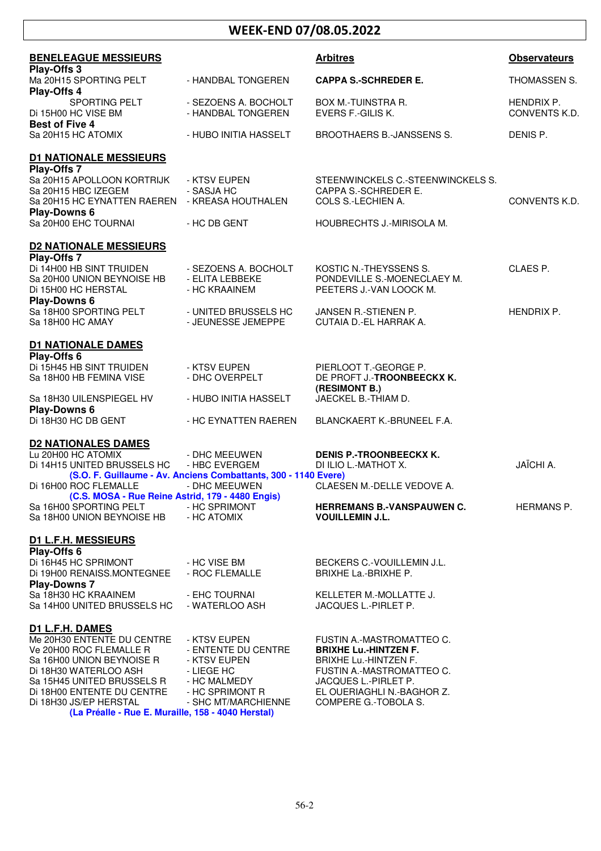# **WEEK-END 07/08.05.2022**

| <b>BENELEAGUE MESSIEURS</b>                              |                                                                 | <b>Arbitres</b>                         | <b>Observateurs</b>         |
|----------------------------------------------------------|-----------------------------------------------------------------|-----------------------------------------|-----------------------------|
| Play-Offs 3<br>Ma 20H15 SPORTING PELT                    | - HANDBAL TONGEREN                                              | <b>CAPPA S.-SCHREDER E.</b>             | THOMASSEN S.                |
| Play-Offs 4                                              |                                                                 |                                         |                             |
| SPORTING PELT<br>Di 15H00 HC VISE BM                     | - SEZOENS A. BOCHOLT<br>- HANDBAL TONGEREN                      | BOX M.-TUINSTRA R.<br>EVERS F.-GILIS K. | HENDRIX P.<br>CONVENTS K.D. |
| <b>Best of Five 4</b><br>Sa 20H15 HC ATOMIX              | - HUBO INITIA HASSELT                                           | BROOTHAERS B.-JANSSENS S.               | DENIS P.                    |
|                                                          |                                                                 |                                         |                             |
| <b>D1 NATIONALE MESSIEURS</b>                            |                                                                 |                                         |                             |
| Play-Offs 7                                              |                                                                 |                                         |                             |
| Sa 20H15 APOLLOON KORTRIJK                               | - KTSV EUPEN                                                    | STEENWINCKELS C.-STEENWINCKELS S.       |                             |
| Sa 20H15 HBC IZEGEM                                      | - SASJA HC                                                      | CAPPA S.-SCHREDER E.                    |                             |
| Sa 20H15 HC EYNATTEN RAEREN - KREASA HOUTHALEN           |                                                                 | COLS S.-LECHIEN A.                      | CONVENTS K.D.               |
| <b>Play-Downs 6</b>                                      |                                                                 |                                         |                             |
| Sa 20H00 EHC TOURNAI                                     | - HC DB GENT                                                    | HOUBRECHTS J.-MIRISOLA M.               |                             |
|                                                          |                                                                 |                                         |                             |
| <b>D2 NATIONALE MESSIEURS</b>                            |                                                                 |                                         |                             |
| Play-Offs 7                                              |                                                                 |                                         |                             |
| Di 14H00 HB SINT TRUIDEN                                 | - SEZOENS A. BOCHOLT                                            | KOSTIC N.-THEYSSENS S.                  | CLAES P.                    |
| Sa 20H00 UNION BEYNOISE HB                               | - ELITA LEBBEKE                                                 | PONDEVILLE S.-MOENECLAEY M.             |                             |
| Di 15H00 HC HERSTAL                                      | - HC KRAAINEM                                                   | PEETERS J.-VAN LOOCK M.                 |                             |
| <b>Play-Downs 6</b>                                      |                                                                 |                                         |                             |
| Sa 18H00 SPORTING PELT                                   | - UNITED BRUSSELS HC                                            | JANSEN R.-STIENEN P.                    | <b>HENDRIX P.</b>           |
| Sa 18H00 HC AMAY                                         | - JEUNESSE JEMEPPE                                              | CUTAIA D.-EL HARRAK A.                  |                             |
|                                                          |                                                                 |                                         |                             |
| <b>D1 NATIONALE DAMES</b>                                |                                                                 |                                         |                             |
|                                                          |                                                                 |                                         |                             |
| Play-Offs 6                                              |                                                                 |                                         |                             |
| Di 15H45 HB SINT TRUIDEN                                 | - KTSV EUPEN                                                    | PIERLOOT T.-GEORGE P.                   |                             |
| Sa 18H00 HB FEMINA VISE                                  | - DHC OVERPELT                                                  | DE PROFT J.-TROONBEECKX K.              |                             |
|                                                          |                                                                 | (RESIMONT B.)                           |                             |
| Sa 18H30 UILENSPIEGEL HV                                 | - HUBO INITIA HASSELT                                           | JAECKEL B.-THIAM D.                     |                             |
| <b>Play-Downs 6</b>                                      |                                                                 |                                         |                             |
| Di 18H30 HC DB GENT                                      | - HC EYNATTEN RAEREN                                            | BLANCKAERT K.-BRUNEEL F.A.              |                             |
|                                                          |                                                                 |                                         |                             |
| <b>D2 NATIONALES DAMES</b>                               |                                                                 |                                         |                             |
| Lu 20H00 HC ATOMIX                                       | - DHC MEEUWEN                                                   | <b>DENIS P.-TROONBEECKX K.</b>          |                             |
| Di 14H15 UNITED BRUSSELS HC                              | - HBC EVERGEM                                                   | DI ILIO L.-MATHOT X.                    | JAÏCHI A.                   |
|                                                          | (S.O. F. Guillaume - Av. Anciens Combattants, 300 - 1140 Evere) |                                         |                             |
| Di 16H00 ROC FLEMALLE                                    | - DHC MEEUWEN                                                   | CLAESEN M.-DELLE VEDOVE A.              |                             |
| (C.S. MOSA - Rue Reine Astrid, 179 - 4480 Engis)         |                                                                 |                                         |                             |
| Sa 16H00 SPORTING PELT                                   | - HC SPRIMONT                                                   | <b>HERREMANS B.-VANSPAUWEN C.</b>       | HERMANS P.                  |
| Sa 18H00 UNION BEYNOISE HB - HC ATOMIX                   |                                                                 | <b>VOUILLEMIN J.L.</b>                  |                             |
|                                                          |                                                                 |                                         |                             |
| <b>D1 L.F.H. MESSIEURS</b>                               |                                                                 |                                         |                             |
| Play-Offs 6                                              |                                                                 |                                         |                             |
| Di 16H45 HC SPRIMONT                                     | - HC VISE BM                                                    | BECKERS C.-VOUILLEMIN J.L.              |                             |
| Di 19H00 RENAISS.MONTEGNEE                               | - ROC FLEMALLE                                                  | BRIXHE La.-BRIXHE P.                    |                             |
| <b>Play-Downs 7</b>                                      |                                                                 |                                         |                             |
| Sa 18H30 HC KRAAINEM                                     | - EHC TOURNAI                                                   | KELLETER M.-MOLLATTE J.                 |                             |
| Sa 14H00 UNITED BRUSSELS HC                              | - WATERLOO ASH                                                  | JACQUES L.-PIRLET P.                    |                             |
|                                                          |                                                                 |                                         |                             |
| D1 L.F.H. DAMES                                          |                                                                 |                                         |                             |
| Me 20H30 ENTENTE DU CENTRE                               | - KTSV EUPEN                                                    | FUSTIN A.-MASTROMATTEO C.               |                             |
| Ve 20H00 ROC FLEMALLE R                                  | - ENTENTE DU CENTRE                                             | <b>BRIXHE Lu.-HINTZEN F.</b>            |                             |
| Sa 16H00 UNION BEYNOISE R                                | - KTSV EUPEN                                                    | <b>BRIXHE Lu.-HINTZEN F.</b>            |                             |
| Di 18H30 WATERLOO ASH                                    | - LIEGE HC                                                      | FUSTIN A.-MASTROMATTEO C.               |                             |
|                                                          |                                                                 |                                         |                             |
| Sa 15H45 UNITED BRUSSELS R<br>Di 18H00 ENTENTE DU CENTRE | - HC MALMEDY                                                    | JACQUES L.-PIRLET P.                    |                             |
|                                                          | - HC SPRIMONT R                                                 | EL OUERIAGHLI N.-BAGHOR Z.              |                             |
| Di 18H30 JS/EP HERSTAL                                   | - SHC MT/MARCHIENNE                                             | COMPERE G.-TOBOLA S.                    |                             |
| (La Préalle - Rue E. Muraille, 158 - 4040 Herstal)       |                                                                 |                                         |                             |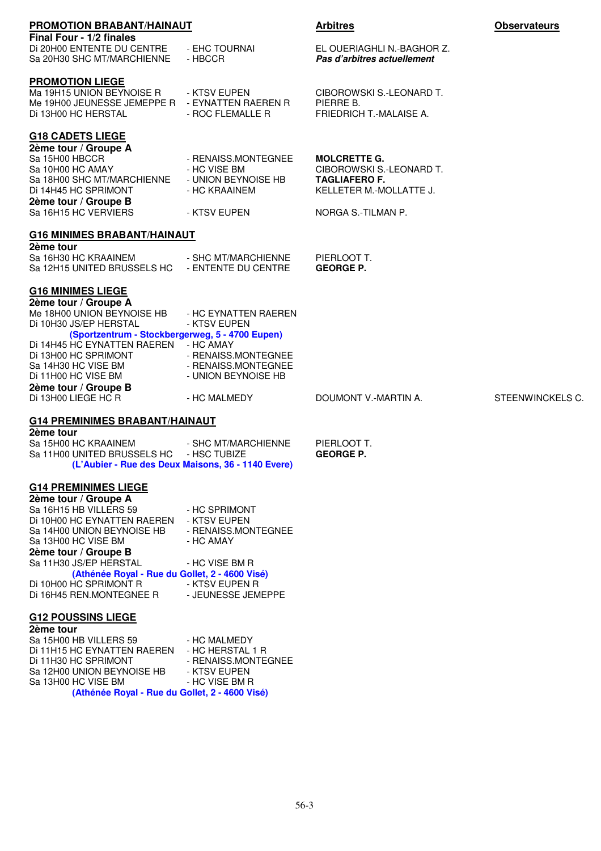| PROMOTION BRABANT/HAINAUT                                                                                                                                                                                                                                                                                                   |                                                                                                                             | <b>Arbitres</b>                                                                                                          | <b>Observateurs</b> |
|-----------------------------------------------------------------------------------------------------------------------------------------------------------------------------------------------------------------------------------------------------------------------------------------------------------------------------|-----------------------------------------------------------------------------------------------------------------------------|--------------------------------------------------------------------------------------------------------------------------|---------------------|
| Final Four - 1/2 finales<br>Di 20H00 ENTENTE DU CENTRE<br>Sa 20H30 SHC MT/MARCHIENNE                                                                                                                                                                                                                                        | - EHC TOURNAI<br>- HBCCR                                                                                                    | EL OUERIAGHLI N.-BAGHOR Z.<br>Pas d'arbitres actuellement                                                                |                     |
| <b>PROMOTION LIEGE</b><br>Ma 19H15 UNION BEYNOISE R<br>Me 19H00 JEUNESSE JEMEPPE R - EYNATTEN RAEREN R<br>Di 13H00 HC HERSTAL                                                                                                                                                                                               | - KTSV EUPEN<br>- ROC FLEMALLE R                                                                                            | CIBOROWSKI S.-LEONARD T.<br>PIERRE B.<br>FRIEDRICH T.-MALAISE A.                                                         |                     |
| <b>G18 CADETS LIEGE</b><br>2ème tour / Groupe A<br>Sa 15H00 HBCCR<br>Sa 10H00 HC AMAY<br>Sa 18H00 SHC MT/MARCHIENNE - UNION BEYNOISE HB<br>Di 14H45 HC SPRIMONT<br>2ème tour / Groupe B<br>Sa 16H15 HC VERVIERS                                                                                                             | - RENAISS.MONTEGNEE<br>- HC VISE BM<br>- HC KRAAINEM<br>- KTSV EUPEN                                                        | <b>MOLCRETTE G.</b><br>CIBOROWSKI S.-LEONARD T.<br><b>TAGLIAFERO F.</b><br>KELLETER M.-MOLLATTE J.<br>NORGA S.-TILMAN P. |                     |
| <b>G16 MINIMES BRABANT/HAINAUT</b>                                                                                                                                                                                                                                                                                          |                                                                                                                             |                                                                                                                          |                     |
| 2ème tour<br>Sa 16H30 HC KRAAINEM<br>Sa 12H15 UNITED BRUSSELS HC - ENTENTE DU CENTRE                                                                                                                                                                                                                                        | - SHC MT/MARCHIENNE                                                                                                         | PIERLOOT T.<br><b>GEORGE P.</b>                                                                                          |                     |
| <b>G16 MINIMES LIEGE</b><br>2ème tour / Groupe A<br>Me 18H00 UNION BEYNOISE HB<br>Di 10H30 JS/EP HERSTAL<br>(Sportzentrum - Stockbergerweg, 5 - 4700 Eupen)<br>Di 14H45 HC EYNATTEN RAEREN - HC AMAY<br>DI 13H00 HC SPRIMONT - RENAISS.MONTEGNEE<br>Sa 14H30 HC VISE BM<br>Di 11H00 HC VISE BM                              | - HC EYNATTEN RAEREN<br>- KTSV EUPEN<br>- RENAISS.MONTEGNEE<br>- UNION BEYNOISE HB                                          |                                                                                                                          |                     |
| 2ème tour / Groupe B<br>Di 13H00 LIEGE HC R                                                                                                                                                                                                                                                                                 | - HC MALMEDY                                                                                                                | DOUMONT V.-MARTIN A.                                                                                                     | STEENWINCKELS C.    |
| <b>G14 PREMINIMES BRABANT/HAINAUT</b>                                                                                                                                                                                                                                                                                       |                                                                                                                             |                                                                                                                          |                     |
| 2ème tour<br>Sa 15H00 HC KRAAINEM<br>Sa 11H00 UNITED BRUSSELS HC - HSC TUBIZE<br>(L'Aubier - Rue des Deux Maisons, 36 - 1140 Evere)                                                                                                                                                                                         | - SHC MT/MARCHIENNE                                                                                                         | PIERLOOT T.<br><b>GEORGE P.</b>                                                                                          |                     |
| <b>G14 PREMINIMES LIEGE</b><br>2ème tour / Groupe A<br>Sa 16H15 HB VILLERS 59<br>Di 10H00 HC EYNATTEN RAEREN<br>Sa 14H00 UNION BEYNOISE HB<br>Sa 13H00 HC VISE BM<br>2ème tour / Groupe B<br>Sa 11H30 JS/EP HERSTAL<br>(Athénée Royal - Rue du Gollet, 2 - 4600 Visé)<br>Di 10H00 HC SPRIMONT R<br>Di 16H45 REN.MONTEGNEE R | - HC SPRIMONT<br>- KTSV EUPEN<br>- RENAISS.MONTEGNEE<br>- HC AMAY<br>- HC VISE BM R<br>- KTSV EUPEN R<br>- JEUNESSE JEMEPPE |                                                                                                                          |                     |
| <b>G12 POUSSINS LIEGE</b><br>2ème tour                                                                                                                                                                                                                                                                                      |                                                                                                                             |                                                                                                                          |                     |
| Sa 15H00 HB VILLERS 59<br>Di 11H15 HC EYNATTEN RAEREN - HC HERSTAL 1 R<br>Di 11H30 HC SPRIMONT<br>Sa 12H00 UNION BEYNOISE HB<br>Sa 13H00 HC VISE BM<br>(Athénée Royal - Rue du Gollet, 2 - 4600 Visé)                                                                                                                       | - HC MALMEDY<br>- RENAISS.MONTEGNEE<br>- KTSV EUPEN<br>- HC VISE BM R                                                       |                                                                                                                          |                     |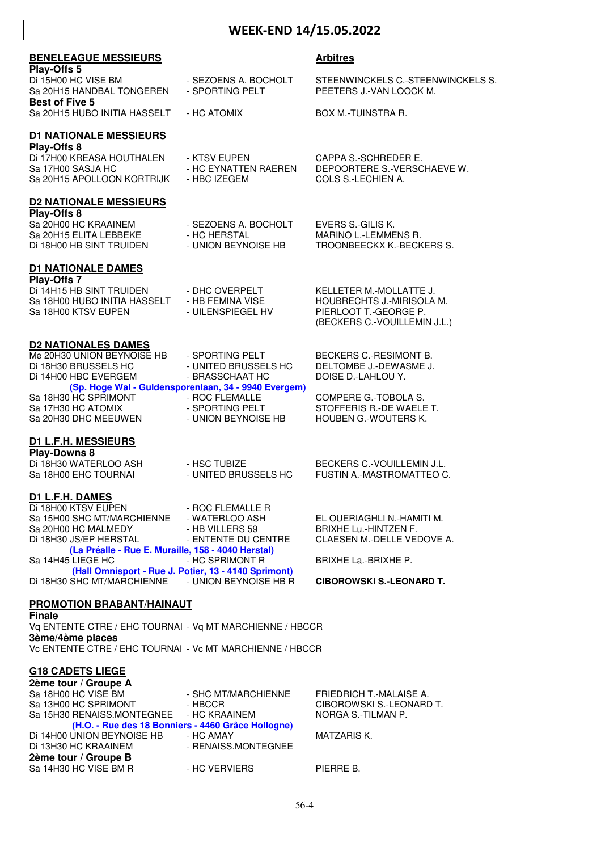# **WEEK-END 14/15.05.2022**

| <b>BENELEAGUE MESSIEURS</b><br>Play-Offs 5                                |                                                                               | <b>Arbitres</b>                                              |
|---------------------------------------------------------------------------|-------------------------------------------------------------------------------|--------------------------------------------------------------|
| Di 15H00 HC VISE BM<br>Sa 20H15 HANDBAL TONGEREN<br><b>Best of Five 5</b> | - SEZOENS A. BOCHOLT<br>- SPORTING PELT                                       | STEENWINCKELS C.-STEENWINCKELS S.<br>PEETERS J.-VAN LOOCK M. |
| Sa 20H15 HUBO INITIA HASSELT                                              | - HC ATOMIX                                                                   | <b>BOX M.-TUINSTRA R.</b>                                    |
| <b>D1 NATIONALE MESSIEURS</b>                                             |                                                                               |                                                              |
| Play-Offs 8<br>Di 17H00 KREASA HOUTHALEN                                  | - KTSV EUPEN                                                                  | CAPPA S.-SCHREDER E.                                         |
| Sa 17H00 SASJA HC<br>Sa 20H15 APOLLOON KORTRIJK                           | - HC EYNATTEN RAEREN<br>- HBC IZEGEM                                          | DEPOORTERE S.-VERSCHAEVE W.<br>COLS S.-LECHIEN A.            |
| <b>D2 NATIONALE MESSIEURS</b>                                             |                                                                               |                                                              |
| Play-Offs 8                                                               |                                                                               |                                                              |
| Sa 20H00 HC KRAAINEM                                                      | - SEZOENS A. BOCHOLT                                                          | EVERS S.-GILIS K.                                            |
| Sa 20H15 ELITA LEBBEKE<br>Di 18H00 HB SINT TRUIDEN                        | - HC HERSTAL<br>- UNION BEYNOISE HB                                           | MARINO L.-LEMMENS R.<br>TROONBEECKX K.-BECKERS S.            |
| <b>D1 NATIONALE DAMES</b><br>Play-Offs 7                                  |                                                                               |                                                              |
| Di 14H15 HB SINT TRUIDEN                                                  | - DHC OVERPELT                                                                | KELLETER M.-MOLLATTE J.                                      |
| Sa 18H00 HUBO INITIA HASSELT                                              | - HB FEMINA VISE                                                              | HOUBRECHTS J.-MIRISOLA M.                                    |
| Sa 18H00 KTSV EUPEN                                                       | - UILENSPIEGEL HV                                                             | PIERLOOT T.-GEORGE P.<br>(BECKERS C.-VOUILLEMIN J.L.)        |
| <b>D2 NATIONALES DAMES</b>                                                |                                                                               |                                                              |
| Me 20H30 UNION BEYNOISE HB                                                | - SPORTING PELT                                                               | BECKERS C.-RESIMONT B.                                       |
| Di 18H30 BRUSSELS HC<br>Di 14H00 HBC EVERGEM                              | - UNITED BRUSSELS HC<br>- BRASSCHAAT HC                                       | DELTOMBE J.-DEWASME J.<br>DOISE D.-LAHLOU Y.                 |
| Sa 18H30 HC SPRIMONT                                                      | (Sp. Hoge Wal - Guldensporenlaan, 34 - 9940 Evergem)<br>- ROC FLEMALLE        | COMPERE G.-TOBOLA S.                                         |
| Sa 17H30 HC ATOMIX                                                        | - SPORTING PELT                                                               | STOFFERIS R.-DE WAELE T.                                     |
| Sa 20H30 DHC MEEUWEN                                                      | - UNION BEYNOISE HB                                                           | HOUBEN G.-WOUTERS K.                                         |
| <b>D1 L.F.H. MESSIEURS</b>                                                |                                                                               |                                                              |
| Play-Downs 8<br>Di 18H30 WATERLOO ASH                                     | - HSC TUBIZE                                                                  | BECKERS C.-VOUILLEMIN J.L.                                   |
| Sa 18H00 EHC TOURNAI                                                      | - UNITED BRUSSELS HC                                                          | FUSTIN A.-MASTROMATTEO C.                                    |
| <b>D1 L.F.H. DAMES</b>                                                    |                                                                               |                                                              |
| Di 18H00 KTSV EUPEN<br>Sa 15H00 SHC MT/MARCHIENNE                         | - ROC FLEMALLE R<br>- WATERLOO ASH                                            | EL OUERIAGHLI N.-HAMITI M.                                   |
| Sa 20H00 HC MALMEDY                                                       | - HB VILLERS 59                                                               | <b>BRIXHE Lu.-HINTZEN F.</b>                                 |
| Di 18H30 JS/EP HERSTAL                                                    | - ENTENTE DU CENTRE                                                           | CLAESEN M.-DELLE VEDOVE A.                                   |
| (La Préalle - Rue E. Muraille, 158 - 4040 Herstal)<br>Sa 14H45 LIEGE HC   | - HC SPRIMONT R                                                               | BRIXHE La.-BRIXHE P.                                         |
| Di 18H30 SHC MT/MARCHIENNE                                                | (Hall Omnisport - Rue J. Potier, 13 - 4140 Sprimont)<br>- UNION BEYNOISE HB R | <b>CIBOROWSKI S.-LEONARD T.</b>                              |
| <b>PROMOTION BRABANT/HAINAUT</b>                                          |                                                                               |                                                              |
| <b>Finale</b><br>Vq ENTENTE CTRE / EHC TOURNAI - Vq MT MARCHIENNE / HBCCR |                                                                               |                                                              |
| 3ème/4ème places                                                          |                                                                               |                                                              |
| Vc ENTENTE CTRE / EHC TOURNAI - Vc MT MARCHIENNE / HBCCR                  |                                                                               |                                                              |
| <b>G18 CADETS LIEGE</b>                                                   |                                                                               |                                                              |
| 2ème tour / Groupe A<br>Sa 18H00 HC VISE BM                               | - SHC MT/MARCHIENNE                                                           | FRIEDRICH T.-MALAISE A.                                      |
| Sa 13H00 HC SPRIMONT                                                      | - HBCCR                                                                       | CIBOROWSKI S.-LEONARD T.                                     |
| Sa 15H30 RENAISS.MONTEGNEE - HC KRAAINEM                                  |                                                                               | NORGA S.-TILMAN P.                                           |
| Di 14H00 UNION BEYNOISE HB                                                | (H.O. - Rue des 18 Bonniers - 4460 Grâce Hollogne)<br>- HC AMAY               | <b>MATZARIS K.</b>                                           |
| Di 13H30 HC KRAAINEM                                                      | - RENAISS.MONTEGNEE                                                           |                                                              |
| 2ème tour / Groupe B                                                      |                                                                               |                                                              |

Sa 14H30 HC VISE BM R - HC VERVIERS PIERRE B.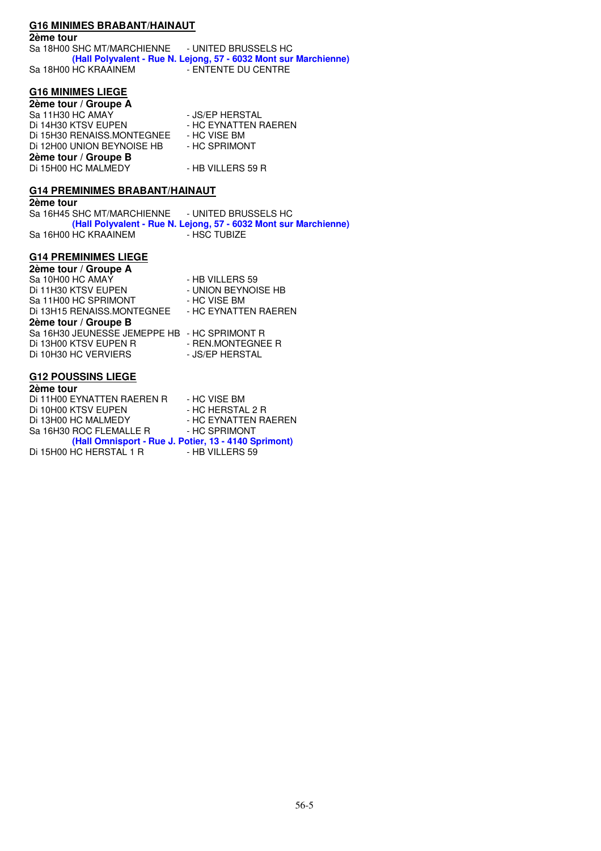# **G16 MINIMES BRABANT/HAINAUT**

#### **2ème tour**

Sa 18H00 SHC MT/MARCHIENNE - UNITED BRUSSELS HC  **(Hall Polyvalent - Rue N. Lejong, 57 - 6032 Mont sur Marchienne)**  Sa 18H00 HC KRAAINEM

### **G16 MINIMES LIEGE**

**2ème tour / Groupe A**  Sa 11H30 HC AMAY - JS/EP HERSTAL<br>Di 14H30 KTSV EUPEN - HC EYNATTEN F - HC EYNATTEN RAEREN<br>- HC VISE BM Di 15H30 RENAISS.MONTEGNEE - HC VISE BM<br>Di 12H00 UNION BEYNOISE HB - HC SPRIMONT Di 12H00 UNION BEYNOISE HB **2ème tour / Groupe B**  Di 15H00 HC MALMEDY - HB VILLERS 59 R

# **G14 PREMINIMES BRABANT/HAINAUT**

**2ème tour** 

Sa 16H45 SHC MT/MARCHIENNE - UNITED BRUSSELS HC  **(Hall Polyvalent - Rue N. Lejong, 57 - 6032 Mont sur Marchienne)**  Sa 16H00 HC KRAAINEM - HSC TUBIZE

### **G14 PREMINIMES LIEGE**

| 2ème tour / Groupe A                         |                      |
|----------------------------------------------|----------------------|
| Sa 10H00 HC AMAY                             | - HB VILLERS 59      |
| Di 11H30 KTSV EUPEN                          | - UNION BEYNOISE HB  |
| Sa 11H00 HC SPRIMONT                         | - HC VISE BM         |
| Di 13H15 RENAISS.MONTEGNEE                   | - HC EYNATTEN RAEREN |
| 2ème tour / Groupe B                         |                      |
| Sa 16H30 JEUNESSE JEMEPPE HB - HC SPRIMONT R |                      |
| Di 13H00 KTSV EUPEN R                        | - REN.MONTEGNEE R    |
| Di 10H30 HC VERVIERS                         | - JS/EP HERSTAL      |
|                                              |                      |

# **G12 POUSSINS LIEGE**

| 2ème tour                  |                                                      |
|----------------------------|------------------------------------------------------|
| Di 11H00 EYNATTEN RAEREN R | - HC VISE BM                                         |
| Di 10H00 KTSV EUPEN        | - HC HERSTAL 2 R                                     |
| Di 13H00 HC MALMEDY        | - HC EYNATTEN RAEREN                                 |
| Sa 16H30 ROC FLEMALLE R    | - HC SPRIMONT                                        |
|                            | (Hall Omnisport - Rue J. Potier, 13 - 4140 Sprimont) |
| Di 15H00 HC HERSTAL 1 R    | - HB VILLERS 59                                      |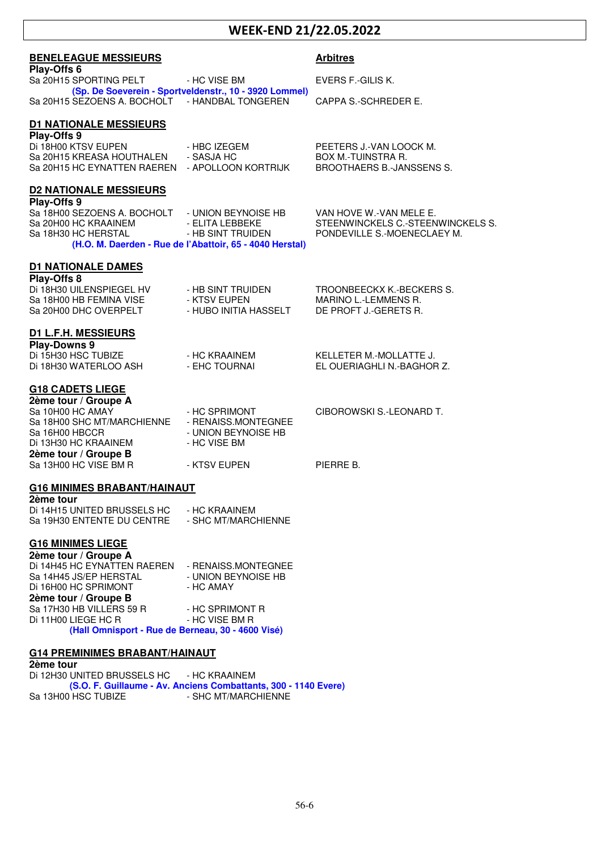# **WEEK-END 21/22.05.2022**

| <b>BENELEAGUE MESSIEURS</b>                                                  |                                                                               | <b>Arbitres</b>                                              |
|------------------------------------------------------------------------------|-------------------------------------------------------------------------------|--------------------------------------------------------------|
| Play-Offs 6<br>Sa 20H15 SPORTING PELT                                        | - HC VISE BM                                                                  | EVERS F.-GILIS K.                                            |
| Sa 20H15 SEZOENS A. BOCHOLT - HANDBAL TONGEREN                               | (Sp. De Soeverein - Sportveldenstr., 10 - 3920 Lommel)                        | CAPPA S.-SCHREDER E.                                         |
| <b>D1 NATIONALE MESSIEURS</b>                                                |                                                                               |                                                              |
| Play-Offs 9<br>Di 18H00 KTSV EUPEN                                           | - HBC IZEGEM                                                                  | PEETERS J.-VAN LOOCK M.                                      |
| Sa 20H15 KREASA HOUTHALEN<br>Sa 20H15 HC EYNATTEN RAEREN - APOLLOON KORTRIJK | - SASJA HC                                                                    | BOX M.-TUINSTRA R.<br><b>BROOTHAERS B.-JANSSENS S.</b>       |
|                                                                              |                                                                               |                                                              |
| <b>D2 NATIONALE MESSIEURS</b><br>Play-Offs 9                                 |                                                                               |                                                              |
| Sa 18H00 SEZOENS A. BOCHOLT<br>Sa 20H00 HC KRAAINEM                          | - UNION BEYNOISE HB<br>- ELITA LEBBEKE                                        | VAN HOVE W.-VAN MELE E.<br>STEENWINCKELS C.-STEENWINCKELS S. |
| Sa 18H30 HC HERSTAL                                                          | - HB SINT TRUIDEN<br>(H.O. M. Daerden - Rue de l'Abattoir, 65 - 4040 Herstal) | PONDEVILLE S.-MOENECLAEY M.                                  |
| <b>D1 NATIONALE DAMES</b>                                                    |                                                                               |                                                              |
| Play-Offs 8                                                                  |                                                                               |                                                              |
| Di 18H30 UILENSPIEGEL HV<br>Sa 18H00 HB FEMINA VISE                          | - HB SINT TRUIDEN<br>- KTSV EUPEN                                             | TROONBEECKX K.-BECKERS S.<br>MARINO L.-LEMMENS R.            |
| Sa 20H00 DHC OVERPELT                                                        | - HUBO INITIA HASSELT                                                         | DE PROFT J.-GERETS R.                                        |
| <b>D1 L.F.H. MESSIEURS</b><br><b>Play-Downs 9</b>                            |                                                                               |                                                              |
| Di 15H30 HSC TUBIZE                                                          | - HC KRAAINEM                                                                 | KELLETER M.-MOLLATTE J.                                      |
| Di 18H30 WATERLOO ASH                                                        | - EHC TOURNAI                                                                 | EL OUERIAGHLI N.-BAGHOR Z.                                   |
| <b>G18 CADETS LIEGE</b><br>2ème tour / Groupe A                              |                                                                               |                                                              |
| Sa 10H00 HC AMAY<br>Sa 18H00 SHC MT/MARCHIENNE                               | - HC SPRIMONT<br>- RENAISS.MONTEGNEE                                          | CIBOROWSKI S.-LEONARD T.                                     |
| Sa 16H00 HBCCR                                                               | - UNION BEYNOISE HB                                                           |                                                              |
| Di 13H30 HC KRAAINEM<br>2ème tour / Groupe B                                 | - HC VISE BM                                                                  |                                                              |
| Sa 13H00 HC VISE BM R                                                        | - KTSV EUPEN                                                                  | PIERRE B.                                                    |
| <b>G16 MINIMES BRABANT/HAINAUT</b><br>2ème tour                              |                                                                               |                                                              |
| Di 14H15 UNITED BRUSSELS HC                                                  | - HC KRAAINEM                                                                 |                                                              |
| Sa 19H30 ENTENTE DU CENTRE                                                   | - SHC MT/MARCHIENNE                                                           |                                                              |
| <b>G16 MINIMES LIEGE</b><br>2ème tour / Groupe A                             |                                                                               |                                                              |
| Di 14H45 HC EYNATTEN RAEREN - RENAISS.MONTEGNEE<br>Sa 14H45 JS/EP HERSTAL    | - UNION BEYNOISE HB                                                           |                                                              |
| Di 16H00 HC SPRIMONT                                                         | - HC AMAY                                                                     |                                                              |
| 2ème tour / Groupe B<br>Sa 17H30 HB VILLERS 59 R                             | - HC SPRIMONT R                                                               |                                                              |
| Di 11H00 LIEGE HC R<br>(Hall Omnisport - Rue de Berneau, 30 - 4600 Visé)     | - HC VISE BM R                                                                |                                                              |
| <b>G14 PREMINIMES BRABANT/HAINAUT</b>                                        |                                                                               |                                                              |

**2ème tour**  Di 12H30 UNITED BRUSSELS HC - HC KRAAINEM  **(S.O. F. Guillaume - Av. Anciens Combattants, 300 - 1140 Evere)**  Sa 13H00 HSC TUBIZE - SHC MT/MARCHIENNE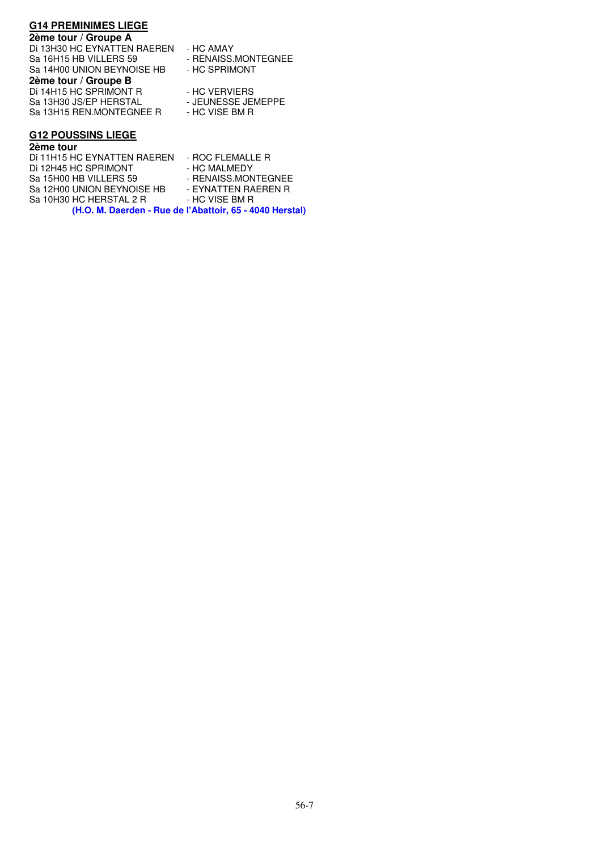### **G14 PREMINIMES LIEGE**

#### **2ème tour / Groupe A**

Di 13H30 HC EYNATTEN RAEREN - HC AMAY Sa 16H15 HB VILLERS 59 - RENAISS.MONTEGNEE<br>Sa 14H00 UNION BEYNOISE HB - HC SPRIMONT Sa 14H00 UNION BEYNOISE HB **2ème tour / Groupe B**  Di 14H15 HC SPRIMONT R<br>Sa 13H30 JS/EP HERSTAL - - JEUNESSE JEMEPPE Sa 13H30 JS/EP HERSTAL - JEUNESSE JEI<br>Sa 13H15 REN.MONTEGNEE R - HC VISE BM R Sa 13H15 REN.MONTEGNEE R

- 
- 
- 
- 

### **G12 POUSSINS LIEGE**

# **2ème tour**

Di 11H15 HC EYNATTEN RAEREN - ROC FLEMALLE R<br>Di 12H45 HC SPRIMONT - HC MALMEDY Di 12H45 HC SPRIMONT Sa 15H00 HB VILLERS 59 - RENAISS.MONTEGNEE Sa 12H00 UNION BEYNOISE HB - EYNATTEN RAEREN R<br>Sa 10H30 HC HERSTAL 2 R - HC VISE BM R Sa 10H30 HC HERSTAL 2 R  **(H.O. M. Daerden - Rue de l'Abattoir, 65 - 4040 Herstal)**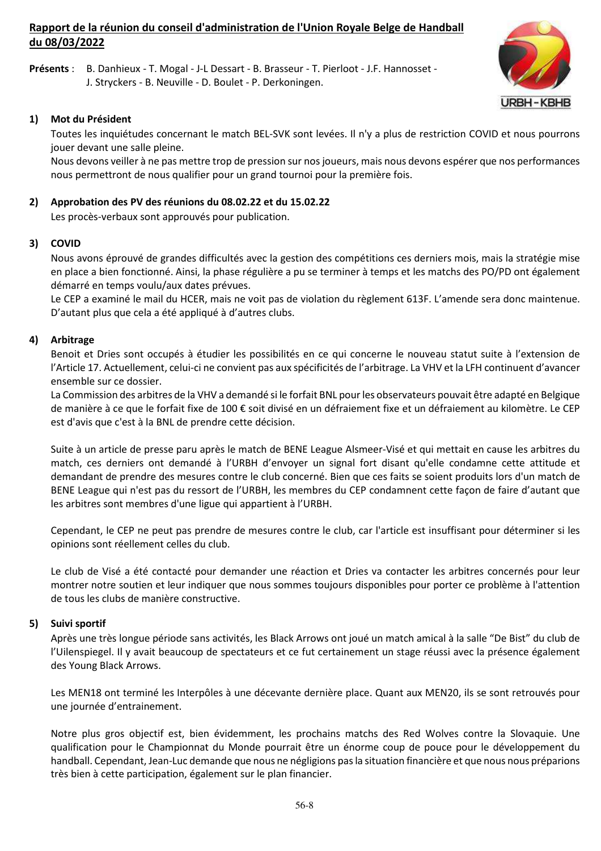# **Rapport de la réunion du conseil d'administration de l'Union Royale Belge de Handball du 08/03/2022**

**Présents** : B. Danhieux - T. Mogal - J-L Dessart - B. Brasseur - T. Pierloot - J.F. Hannosset - J. Stryckers - B. Neuville - D. Boulet - P. Derkoningen.



# **1) Mot du Président**

 Toutes les inquiétudes concernant le match BEL-SVK sont levées. Il n'y a plus de restriction COVID et nous pourrons jouer devant une salle pleine.

 Nous devons veiller à ne pas mettre trop de pression sur nos joueurs, mais nous devons espérer que nos performances nous permettront de nous qualifier pour un grand tournoi pour la première fois.

# **2) Approbation des PV des réunions du 08.02.22 et du 15.02.22**

Les procès-verbaux sont approuvés pour publication.

# **3) COVID**

Nous avons éprouvé de grandes difficultés avec la gestion des compétitions ces derniers mois, mais la stratégie mise en place a bien fonctionné. Ainsi, la phase régulière a pu se terminer à temps et les matchs des PO/PD ont également démarré en temps voulu/aux dates prévues.

Le CEP a examiné le mail du HCER, mais ne voit pas de violation du règlement 613F. L'amende sera donc maintenue. D'autant plus que cela a été appliqué à d'autres clubs.

### **4) Arbitrage**

 Benoit et Dries sont occupés à étudier les possibilités en ce qui concerne le nouveau statut suite à l'extension de l'Article 17. Actuellement, celui-ci ne convient pas aux spécificités de l'arbitrage. La VHV et la LFH continuent d'avancer ensemble sur ce dossier.

 La Commission des arbitres de la VHV a demandé si le forfait BNL pour les observateurs pouvait être adapté en Belgique de manière à ce que le forfait fixe de 100 € soit divisé en un défraiement fixe et un défraiement au kilomètre. Le CEP est d'avis que c'est à la BNL de prendre cette décision.

 Suite à un article de presse paru après le match de BENE League Alsmeer-Visé et qui mettait en cause les arbitres du match, ces derniers ont demandé à l'URBH d'envoyer un signal fort disant qu'elle condamne cette attitude et demandant de prendre des mesures contre le club concerné. Bien que ces faits se soient produits lors d'un match de BENE League qui n'est pas du ressort de l'URBH, les membres du CEP condamnent cette façon de faire d'autant que les arbitres sont membres d'une ligue qui appartient à l'URBH.

 Cependant, le CEP ne peut pas prendre de mesures contre le club, car l'article est insuffisant pour déterminer si les opinions sont réellement celles du club.

 Le club de Visé a été contacté pour demander une réaction et Dries va contacter les arbitres concernés pour leur montrer notre soutien et leur indiquer que nous sommes toujours disponibles pour porter ce problème à l'attention de tous les clubs de manière constructive.

### **5) Suivi sportif**

 Après une très longue période sans activités, les Black Arrows ont joué un match amical à la salle "De Bist" du club de l'Uilenspiegel. Il y avait beaucoup de spectateurs et ce fut certainement un stage réussi avec la présence également des Young Black Arrows.

 Les MEN18 ont terminé les Interpôles à une décevante dernière place. Quant aux MEN20, ils se sont retrouvés pour une journée d'entrainement.

 Notre plus gros objectif est, bien évidemment, les prochains matchs des Red Wolves contre la Slovaquie. Une qualification pour le Championnat du Monde pourrait être un énorme coup de pouce pour le développement du handball. Cependant, Jean-Luc demande que nous ne négligions pas la situation financière et que nous nous préparions très bien à cette participation, également sur le plan financier.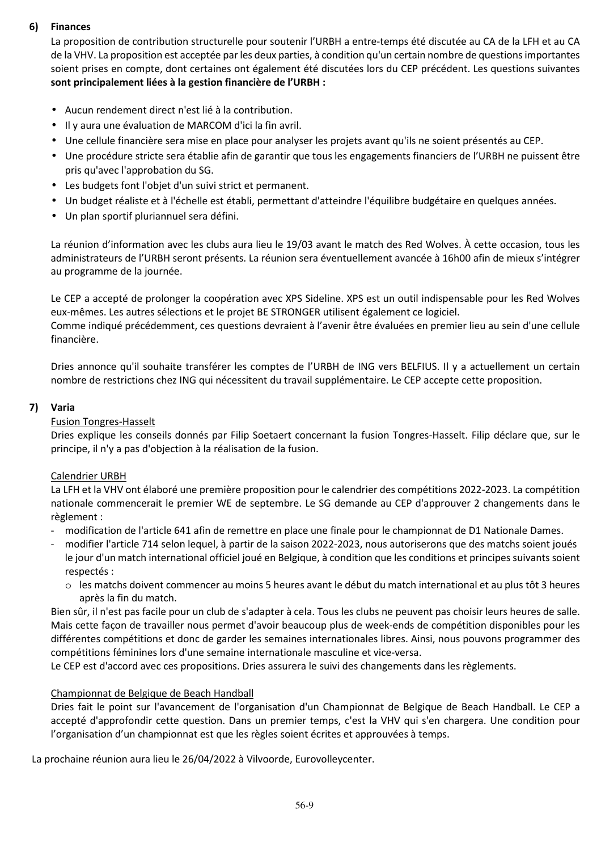# **6) Finances**

 La proposition de contribution structurelle pour soutenir l'URBH a entre-temps été discutée au CA de la LFH et au CA de la VHV. La proposition est acceptée par les deux parties, à condition qu'un certain nombre de questions importantes soient prises en compte, dont certaines ont également été discutées lors du CEP précédent. Les questions suivantes **sont principalement liées à la gestion financière de l'URBH :** 

- Aucun rendement direct n'est lié à la contribution.
- Il y aura une évaluation de MARCOM d'ici la fin avril.
- Une cellule financière sera mise en place pour analyser les projets avant qu'ils ne soient présentés au CEP.
- Une procédure stricte sera établie afin de garantir que tous les engagements financiers de l'URBH ne puissent être pris qu'avec l'approbation du SG.
- Les budgets font l'objet d'un suivi strict et permanent.
- Un budget réaliste et à l'échelle est établi, permettant d'atteindre l'équilibre budgétaire en quelques années.
- Un plan sportif pluriannuel sera défini.

 La réunion d'information avec les clubs aura lieu le 19/03 avant le match des Red Wolves. À cette occasion, tous les administrateurs de l'URBH seront présents. La réunion sera éventuellement avancée à 16h00 afin de mieux s'intégrer au programme de la journée.

Le CEP a accepté de prolonger la coopération avec XPS Sideline. XPS est un outil indispensable pour les Red Wolves eux-mêmes. Les autres sélections et le projet BE STRONGER utilisent également ce logiciel.

Comme indiqué précédemment, ces questions devraient à l'avenir être évaluées en premier lieu au sein d'une cellule financière.

Dries annonce qu'il souhaite transférer les comptes de l'URBH de ING vers BELFIUS. Il y a actuellement un certain nombre de restrictions chez ING qui nécessitent du travail supplémentaire. Le CEP accepte cette proposition.

# **7) Varia**

# Fusion Tongres-Hasselt

 Dries explique les conseils donnés par Filip Soetaert concernant la fusion Tongres-Hasselt. Filip déclare que, sur le principe, il n'y a pas d'objection à la réalisation de la fusion.

# Calendrier URBH

 La LFH et la VHV ont élaboré une première proposition pour le calendrier des compétitions 2022-2023. La compétition nationale commencerait le premier WE de septembre. Le SG demande au CEP d'approuver 2 changements dans le règlement :

- modification de l'article 641 afin de remettre en place une finale pour le championnat de D1 Nationale Dames.

- modifier l'article 714 selon lequel, à partir de la saison 2022-2023, nous autoriserons que des matchs soient joués le jour d'un match international officiel joué en Belgique, à condition que les conditions et principes suivants soient respectés :
	- o les matchs doivent commencer au moins 5 heures avant le début du match international et au plus tôt 3 heures après la fin du match.

 Bien sûr, il n'est pas facile pour un club de s'adapter à cela. Tous les clubs ne peuvent pas choisir leurs heures de salle. Mais cette façon de travailler nous permet d'avoir beaucoup plus de week-ends de compétition disponibles pour les différentes compétitions et donc de garder les semaines internationales libres. Ainsi, nous pouvons programmer des compétitions féminines lors d'une semaine internationale masculine et vice-versa.

Le CEP est d'accord avec ces propositions. Dries assurera le suivi des changements dans les règlements.

# Championnat de Belgique de Beach Handball

 Dries fait le point sur l'avancement de l'organisation d'un Championnat de Belgique de Beach Handball. Le CEP a accepté d'approfondir cette question. Dans un premier temps, c'est la VHV qui s'en chargera. Une condition pour l'organisation d'un championnat est que les règles soient écrites et approuvées à temps.

La prochaine réunion aura lieu le 26/04/2022 à Vilvoorde, Eurovolleycenter.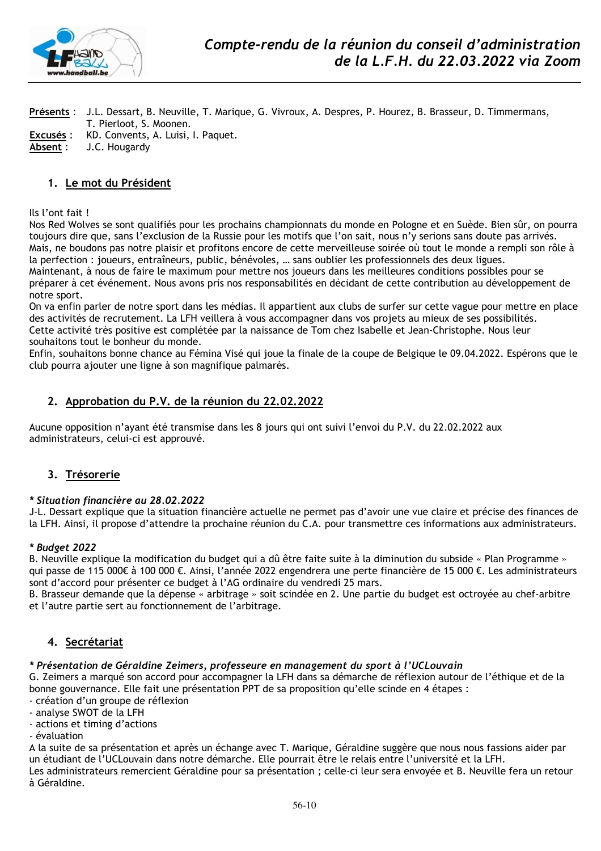

**Présents** : J.L. Dessart, B. Neuville, T. Marique, G. Vivroux, A. Despres, P. Hourez, B. Brasseur, D. Timmermans, T. Pierloot, S. Moonen. **Excusés** : KD. Convents, A. Luisi, I. Paquet. **Absent** : J.C. Hougardy

### **1. Le mot du Président**

Ils l'ont fait !

Nos Red Wolves se sont qualifiés pour les prochains championnats du monde en Pologne et en Suède. Bien sûr, on pourra toujours dire que, sans l'exclusion de la Russie pour les motifs que l'on sait, nous n'y serions sans doute pas arrivés. Mais, ne boudons pas notre plaisir et profitons encore de cette merveilleuse soirée où tout le monde a rempli son rôle à la perfection : joueurs, entraîneurs, public, bénévoles, … sans oublier les professionnels des deux ligues. Maintenant, à nous de faire le maximum pour mettre nos joueurs dans les meilleures conditions possibles pour se préparer à cet événement. Nous avons pris nos responsabilités en décidant de cette contribution au développement de notre sport.

On va enfin parler de notre sport dans les médias. Il appartient aux clubs de surfer sur cette vague pour mettre en place des activités de recrutement. La LFH veillera à vous accompagner dans vos projets au mieux de ses possibilités. Cette activité très positive est complétée par la naissance de Tom chez Isabelle et Jean-Christophe. Nous leur souhaitons tout le bonheur du monde.

Enfin, souhaitons bonne chance au Fémina Visé qui joue la finale de la coupe de Belgique le 09.04.2022. Espérons que le club pourra ajouter une ligne à son magnifique palmarès.

### **2. Approbation du P.V. de la réunion du 22.02.2022**

Aucune opposition n'ayant été transmise dans les 8 jours qui ont suivi l'envoi du P.V. du 22.02.2022 aux administrateurs, celui-ci est approuvé.

### **3. Trésorerie**

#### *\* Situation financière au 28.02.2022*

J-L. Dessart explique que la situation financière actuelle ne permet pas d'avoir une vue claire et précise des finances de la LFH. Ainsi, il propose d'attendre la prochaine réunion du C.A. pour transmettre ces informations aux administrateurs.

#### *\* Budget 2022*

B. Neuville explique la modification du budget qui a dû être faite suite à la diminution du subside « Plan Programme » qui passe de 115 000€ à 100 000 €. Ainsi, l'année 2022 engendrera une perte financière de 15 000 €. Les administrateurs sont d'accord pour présenter ce budget à l'AG ordinaire du vendredi 25 mars.

B. Brasseur demande que la dépense « arbitrage » soit scindée en 2. Une partie du budget est octroyée au chef-arbitre et l'autre partie sert au fonctionnement de l'arbitrage.

### **4. Secrétariat**

#### *\* Présentation de Géraldine Zeimers, professeure en management du sport à l'UCLouvain*

G. Zeimers a marqué son accord pour accompagner la LFH dans sa démarche de réflexion autour de l'éthique et de la bonne gouvernance. Elle fait une présentation PPT de sa proposition qu'elle scinde en 4 étapes :

- création d'un groupe de réflexion
- analyse SWOT de la LFH
- actions et timing d'actions
- évaluation

A la suite de sa présentation et après un échange avec T. Marique, Géraldine suggère que nous nous fassions aider par un étudiant de l'UCLouvain dans notre démarche. Elle pourrait être le relais entre l'université et la LFH. Les administrateurs remercient Géraldine pour sa présentation ; celle-ci leur sera envoyée et B. Neuville fera un retour à Géraldine.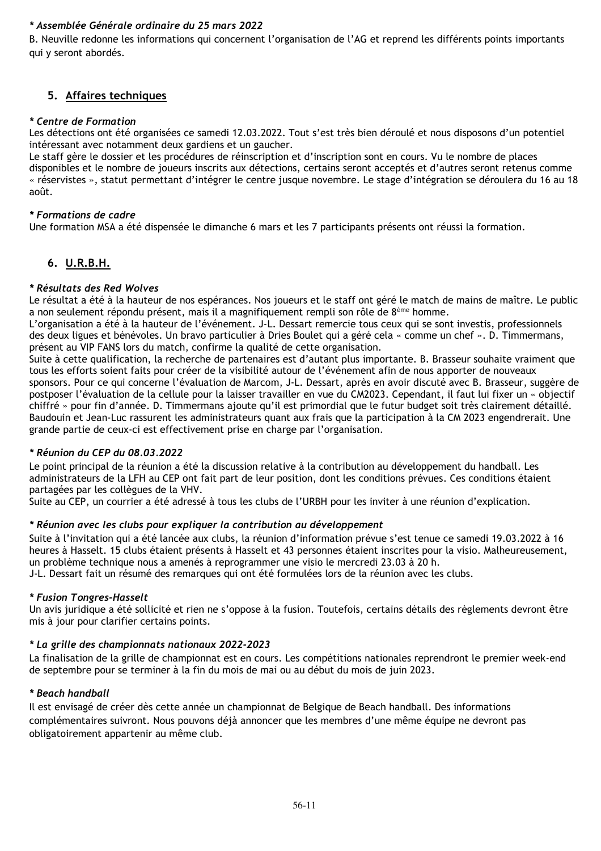# *\* Assemblée Générale ordinaire du 25 mars 2022*

B. Neuville redonne les informations qui concernent l'organisation de l'AG et reprend les différents points importants qui y seront abordés.

# **5. Affaires techniques**

### *\* Centre de Formation*

Les détections ont été organisées ce samedi 12.03.2022. Tout s'est très bien déroulé et nous disposons d'un potentiel intéressant avec notamment deux gardiens et un gaucher.

Le staff gère le dossier et les procédures de réinscription et d'inscription sont en cours. Vu le nombre de places disponibles et le nombre de joueurs inscrits aux détections, certains seront acceptés et d'autres seront retenus comme « réservistes », statut permettant d'intégrer le centre jusque novembre. Le stage d'intégration se déroulera du 16 au 18 août.

### *\* Formations de cadre*

Une formation MSA a été dispensée le dimanche 6 mars et les 7 participants présents ont réussi la formation.

# **6. U.R.B.H.**

### *\* Résultats des Red Wolves*

Le résultat a été à la hauteur de nos espérances. Nos joueurs et le staff ont géré le match de mains de maître. Le public a non seulement répondu présent, mais il a magnifiquement rempli son rôle de 8ème homme.

L'organisation a été à la hauteur de l'événement. J-L. Dessart remercie tous ceux qui se sont investis, professionnels des deux ligues et bénévoles. Un bravo particulier à Dries Boulet qui a géré cela « comme un chef ». D. Timmermans, présent au VIP FANS lors du match, confirme la qualité de cette organisation.

Suite à cette qualification, la recherche de partenaires est d'autant plus importante. B. Brasseur souhaite vraiment que tous les efforts soient faits pour créer de la visibilité autour de l'événement afin de nous apporter de nouveaux sponsors. Pour ce qui concerne l'évaluation de Marcom, J-L. Dessart, après en avoir discuté avec B. Brasseur, suggère de postposer l'évaluation de la cellule pour la laisser travailler en vue du CM2023. Cependant, il faut lui fixer un « objectif chiffré » pour fin d'année. D. Timmermans ajoute qu'il est primordial que le futur budget soit très clairement détaillé. Baudouin et Jean-Luc rassurent les administrateurs quant aux frais que la participation à la CM 2023 engendrerait. Une grande partie de ceux-ci est effectivement prise en charge par l'organisation.

### *\* Réunion du CEP du 08.03.2022*

Le point principal de la réunion a été la discussion relative à la contribution au développement du handball. Les administrateurs de la LFH au CEP ont fait part de leur position, dont les conditions prévues. Ces conditions étaient partagées par les collègues de la VHV.

Suite au CEP, un courrier a été adressé à tous les clubs de l'URBH pour les inviter à une réunion d'explication.

### *\* Réunion avec les clubs pour expliquer la contribution au développement*

Suite à l'invitation qui a été lancée aux clubs, la réunion d'information prévue s'est tenue ce samedi 19.03.2022 à 16 heures à Hasselt. 15 clubs étaient présents à Hasselt et 43 personnes étaient inscrites pour la visio. Malheureusement, un problème technique nous a amenés à reprogrammer une visio le mercredi 23.03 à 20 h.

J-L. Dessart fait un résumé des remarques qui ont été formulées lors de la réunion avec les clubs.

#### *\* Fusion Tongres-Hasselt*

Un avis juridique a été sollicité et rien ne s'oppose à la fusion. Toutefois, certains détails des règlements devront être mis à jour pour clarifier certains points.

### *\* La grille des championnats nationaux 2022-2023*

La finalisation de la grille de championnat est en cours. Les compétitions nationales reprendront le premier week-end de septembre pour se terminer à la fin du mois de mai ou au début du mois de juin 2023.

### *\* Beach handball*

Il est envisagé de créer dès cette année un championnat de Belgique de Beach handball. Des informations complémentaires suivront. Nous pouvons déjà annoncer que les membres d'une même équipe ne devront pas obligatoirement appartenir au même club.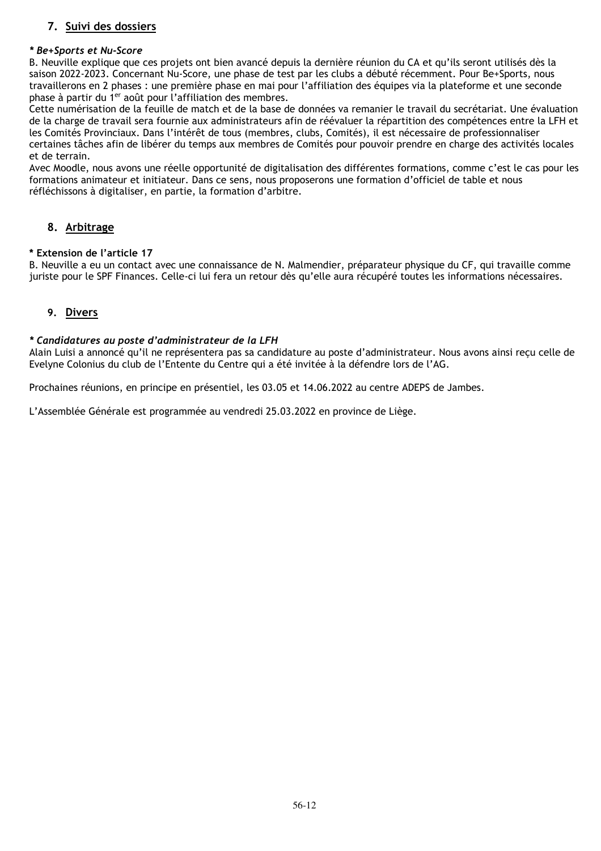# **7. Suivi des dossiers**

### *\* Be+Sports et Nu-Score*

B. Neuville explique que ces projets ont bien avancé depuis la dernière réunion du CA et qu'ils seront utilisés dès la saison 2022-2023. Concernant Nu-Score, une phase de test par les clubs a débuté récemment. Pour Be+Sports, nous travaillerons en 2 phases : une première phase en mai pour l'affiliation des équipes via la plateforme et une seconde phase à partir du 1er août pour l'affiliation des membres.

Cette numérisation de la feuille de match et de la base de données va remanier le travail du secrétariat. Une évaluation de la charge de travail sera fournie aux administrateurs afin de réévaluer la répartition des compétences entre la LFH et les Comités Provinciaux. Dans l'intérêt de tous (membres, clubs, Comités), il est nécessaire de professionnaliser certaines tâches afin de libérer du temps aux membres de Comités pour pouvoir prendre en charge des activités locales et de terrain.

Avec Moodle, nous avons une réelle opportunité de digitalisation des différentes formations, comme c'est le cas pour les formations animateur et initiateur. Dans ce sens, nous proposerons une formation d'officiel de table et nous réfléchissons à digitaliser, en partie, la formation d'arbitre.

# **8. Arbitrage**

### **\* Extension de l'article 17**

B. Neuville a eu un contact avec une connaissance de N. Malmendier, préparateur physique du CF, qui travaille comme juriste pour le SPF Finances. Celle-ci lui fera un retour dès qu'elle aura récupéré toutes les informations nécessaires.

# **9. Divers**

### *\* Candidatures au poste d'administrateur de la LFH*

Alain Luisi a annoncé qu'il ne représentera pas sa candidature au poste d'administrateur. Nous avons ainsi reçu celle de Evelyne Colonius du club de l'Entente du Centre qui a été invitée à la défendre lors de l'AG.

Prochaines réunions, en principe en présentiel, les 03.05 et 14.06.2022 au centre ADEPS de Jambes.

L'Assemblée Générale est programmée au vendredi 25.03.2022 en province de Liège.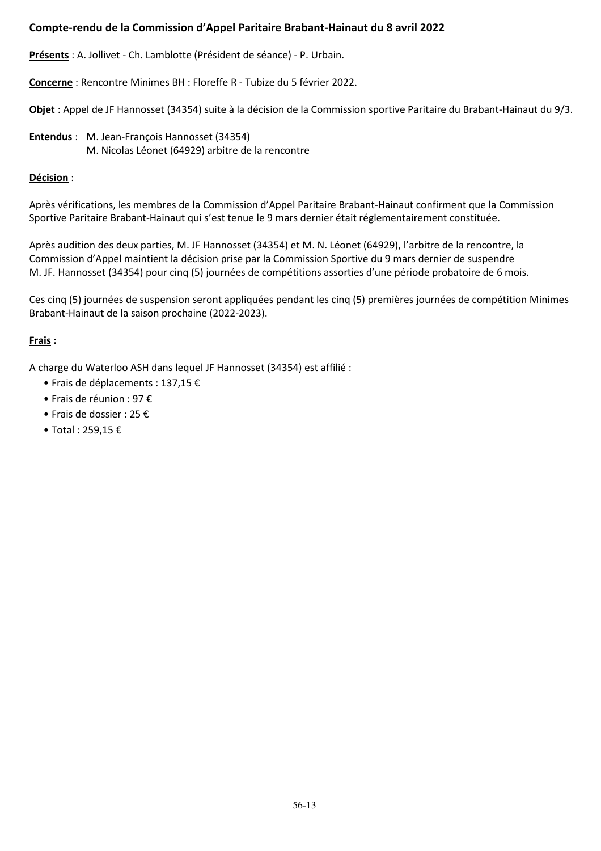# **Compte-rendu de la Commission d'Appel Paritaire Brabant-Hainaut du 8 avril 2022**

**Présents** : A. Jollivet - Ch. Lamblotte (Président de séance) - P. Urbain.

**Concerne** : Rencontre Minimes BH : Floreffe R - Tubize du 5 février 2022.

**Objet** : Appel de JF Hannosset (34354) suite à la décision de la Commission sportive Paritaire du Brabant-Hainaut du 9/3.

**Entendus** : M. Jean-François Hannosset (34354) M. Nicolas Léonet (64929) arbitre de la rencontre

# **Décision** :

Après vérifications, les membres de la Commission d'Appel Paritaire Brabant-Hainaut confirment que la Commission Sportive Paritaire Brabant-Hainaut qui s'est tenue le 9 mars dernier était réglementairement constituée.

Après audition des deux parties, M. JF Hannosset (34354) et M. N. Léonet (64929), l'arbitre de la rencontre, la Commission d'Appel maintient la décision prise par la Commission Sportive du 9 mars dernier de suspendre M. JF. Hannosset (34354) pour cinq (5) journées de compétitions assorties d'une période probatoire de 6 mois.

Ces cinq (5) journées de suspension seront appliquées pendant les cinq (5) premières journées de compétition Minimes Brabant-Hainaut de la saison prochaine (2022-2023).

# **Frais :**

A charge du Waterloo ASH dans lequel JF Hannosset (34354) est affilié :

- Frais de déplacements : 137,15 €
- Frais de réunion : 97 €
- Frais de dossier : 25 €
- Total : 259,15 €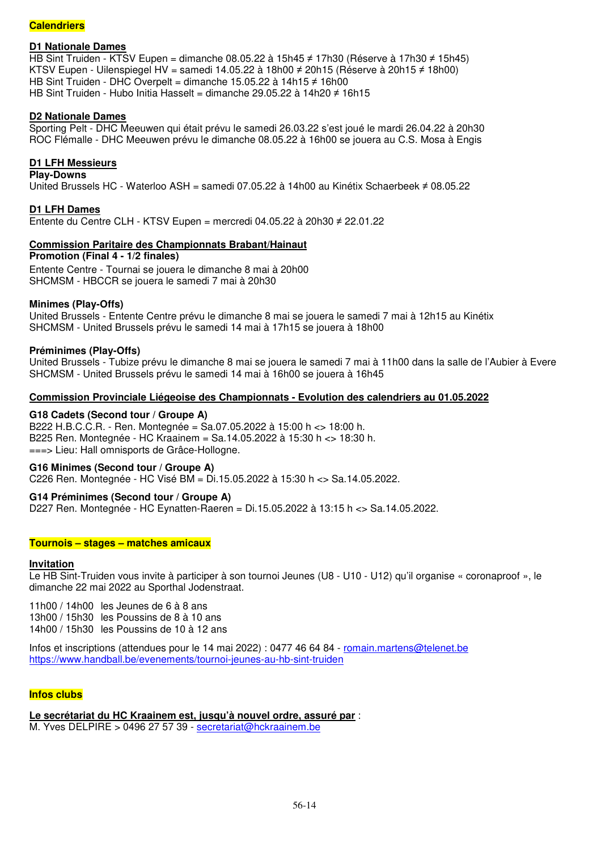### **Calendriers**

### **D1 Nationale Dames**

HB Sint Truiden - KTSV Eupen = dimanche 08.05.22 à 15h45 ≠ 17h30 (Réserve à 17h30 ≠ 15h45) KTSV Eupen - Uilenspiegel HV = samedi 14.05.22 à 18h00 ≠ 20h15 (Réserve à 20h15 ≠ 18h00) HB Sint Truiden - DHC Overpelt = dimanche 15.05.22 à 14h15 ≠ 16h00 HB Sint Truiden - Hubo Initia Hasselt = dimanche 29.05.22 à 14h20 ≠ 16h15

### **D2 Nationale Dames**

Sporting Pelt - DHC Meeuwen qui était prévu le samedi 26.03.22 s'est joué le mardi 26.04.22 à 20h30 ROC Flémalle - DHC Meeuwen prévu le dimanche 08.05.22 à 16h00 se jouera au C.S. Mosa à Engis

### **D1 LFH Messieurs**

**Play-Downs**  United Brussels HC - Waterloo ASH = samedi 07.05.22 à 14h00 au Kinétix Schaerbeek ≠ 08.05.22

**D1 LFH Dames**  Entente du Centre CLH - KTSV Eupen = mercredi 04.05.22 à 20h30 ≠ 22.01.22

### **Commission Paritaire des Championnats Brabant/Hainaut**

**Promotion (Final 4 - 1/2 finales)**  Entente Centre - Tournai se jouera le dimanche 8 mai à 20h00 SHCMSM - HBCCR se jouera le samedi 7 mai à 20h30

### **Minimes (Play-Offs)**

United Brussels - Entente Centre prévu le dimanche 8 mai se jouera le samedi 7 mai à 12h15 au Kinétix SHCMSM - United Brussels prévu le samedi 14 mai à 17h15 se jouera à 18h00

#### **Préminimes (Play-Offs)**

United Brussels - Tubize prévu le dimanche 8 mai se jouera le samedi 7 mai à 11h00 dans la salle de l'Aubier à Evere SHCMSM - United Brussels prévu le samedi 14 mai à 16h00 se jouera à 16h45

### **Commission Provinciale Liégeoise des Championnats - Evolution des calendriers au 01.05.2022**

### **G18 Cadets (Second tour / Groupe A)**

B222 H.B.C.C.R. - Ren. Montegnée = Sa.07.05.2022 à 15:00 h <> 18:00 h. B225 Ren. Montegnée - HC Kraainem = Sa.14.05.2022 à 15:30 h <> 18:30 h. ===> Lieu: Hall omnisports de Grâce-Hollogne.

#### **G16 Minimes (Second tour / Groupe A)**

C226 Ren. Montegnée - HC Visé BM = Di.15.05.2022 à 15:30 h <> Sa.14.05.2022.

### **G14 Préminimes (Second tour / Groupe A)**

D227 Ren. Montegnée - HC Eynatten-Raeren = Di.15.05.2022 à 13:15 h <> Sa.14.05.2022.

#### **Tournois – stages – matches amicaux**

#### **Invitation**

Le HB Sint-Truiden vous invite à participer à son tournoi Jeunes (U8 - U10 - U12) qu'il organise « coronaproof », le dimanche 22 mai 2022 au Sporthal Jodenstraat.

11h00 / 14h00 les Jeunes de 6 à 8 ans 13h00 / 15h30 les Poussins de 8 à 10 ans 14h00 / 15h30 les Poussins de 10 à 12 ans

Infos et inscriptions (attendues pour le 14 mai 2022) : 0477 46 64 84 - romain.martens@telenet.be https://www.handball.be/evenements/tournoi-jeunes-au-hb-sint-truiden

#### **Infos clubs**

**Le secrétariat du HC Kraainem est, jusqu'à nouvel ordre, assuré par** :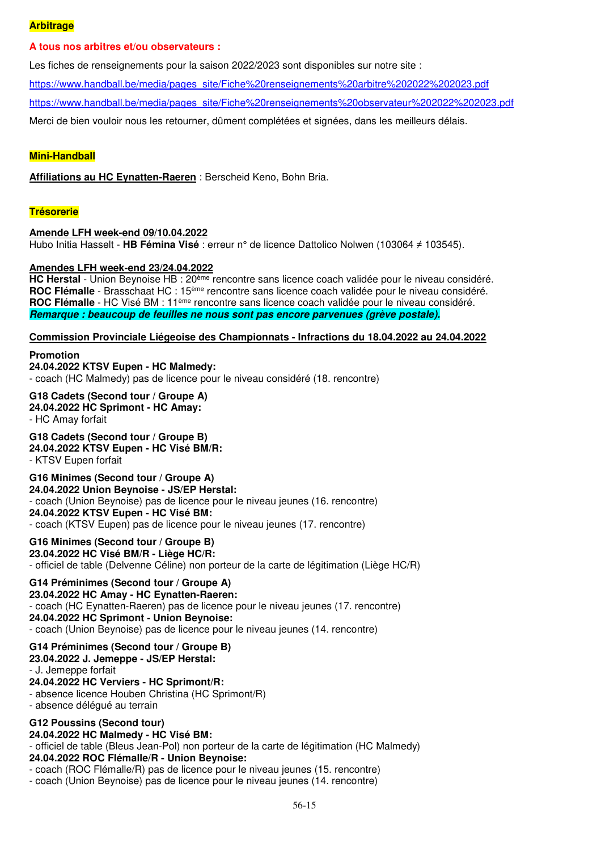### **Arbitrage**

### **A tous nos arbitres et/ou observateurs :**

Les fiches de renseignements pour la saison 2022/2023 sont disponibles sur notre site :

https://www.handball.be/media/pages\_site/Fiche%20renseignements%20arbitre%202022%202023.pdf

https://www.handball.be/media/pages\_site/Fiche%20renseignements%20observateur%202022%202023.pdf

Merci de bien vouloir nous les retourner, dûment complétées et signées, dans les meilleurs délais.

### **Mini-Handball**

**Affiliations au HC Eynatten-Raeren** : Berscheid Keno, Bohn Bria.

### **Trésorerie**

#### **Amende LFH week-end 09/10.04.2022**

Hubo Initia Hasselt - **HB Fémina Visé** : erreur n° de licence Dattolico Nolwen (103064 ≠ 103545).

### **Amendes LFH week-end 23/24.04.2022**

**HC Herstal** - Union Beynoise HB : 20ème rencontre sans licence coach validée pour le niveau considéré. **ROC Flémalle** - Brasschaat HC : 15ème rencontre sans licence coach validée pour le niveau considéré. **ROC Flémalle** - HC Visé BM : 11ème rencontre sans licence coach validée pour le niveau considéré. **Remarque : beaucoup de feuilles ne nous sont pas encore parvenues (grève postale).** 

### **Commission Provinciale Liégeoise des Championnats - Infractions du 18.04.2022 au 24.04.2022**

**Promotion 24.04.2022 KTSV Eupen - HC Malmedy:**  - coach (HC Malmedy) pas de licence pour le niveau considéré (18. rencontre)

# **G18 Cadets (Second tour / Groupe A)**

**24.04.2022 HC Sprimont - HC Amay:**  - HC Amay forfait

#### **G18 Cadets (Second tour / Groupe B) 24.04.2022 KTSV Eupen - HC Visé BM/R:**  - KTSV Eupen forfait

**G16 Minimes (Second tour / Groupe A) 24.04.2022 Union Beynoise - JS/EP Herstal:**  - coach (Union Beynoise) pas de licence pour le niveau jeunes (16. rencontre) **24.04.2022 KTSV Eupen - HC Visé BM:**  - coach (KTSV Eupen) pas de licence pour le niveau jeunes (17. rencontre)

**G16 Minimes (Second tour / Groupe B) 23.04.2022 HC Visé BM/R - Liège HC/R:**  - officiel de table (Delvenne Céline) non porteur de la carte de légitimation (Liège HC/R)

# **G14 Préminimes (Second tour / Groupe A)**

**23.04.2022 HC Amay - HC Eynatten-Raeren:**  - coach (HC Eynatten-Raeren) pas de licence pour le niveau jeunes (17. rencontre) **24.04.2022 HC Sprimont - Union Beynoise:**  - coach (Union Beynoise) pas de licence pour le niveau jeunes (14. rencontre)

#### **G14 Préminimes (Second tour / Groupe B)**

**23.04.2022 J. Jemeppe - JS/EP Herstal:** 

- J. Jemeppe forfait

# **24.04.2022 HC Verviers - HC Sprimont/R:**

- absence licence Houben Christina (HC Sprimont/R)

- absence délégué au terrain

### **G12 Poussins (Second tour)**

**24.04.2022 HC Malmedy - HC Visé BM:** 

- officiel de table (Bleus Jean-Pol) non porteur de la carte de légitimation (HC Malmedy)

### **24.04.2022 ROC Flémalle/R - Union Beynoise:**

- coach (ROC Flémalle/R) pas de licence pour le niveau jeunes (15. rencontre)

- coach (Union Beynoise) pas de licence pour le niveau jeunes (14. rencontre)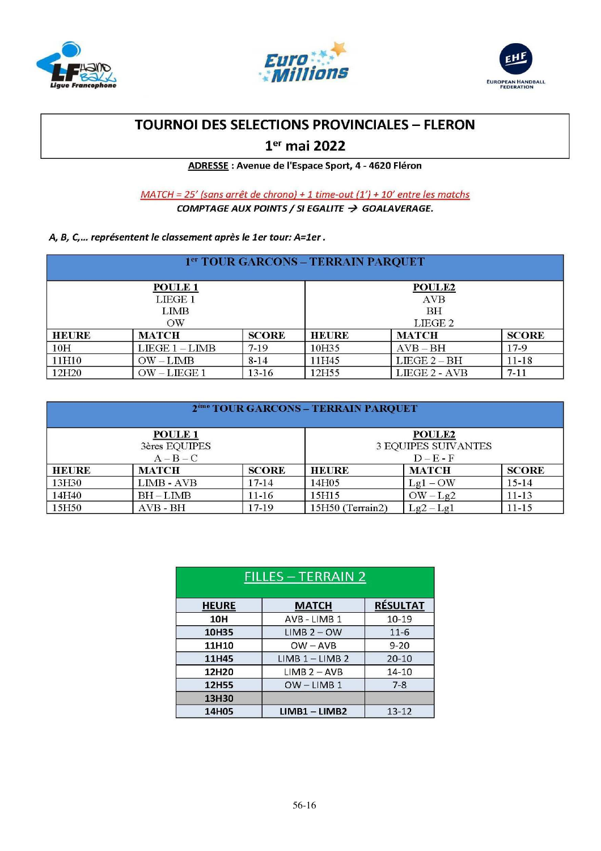





# **TOURNOI DES SELECTIONS PROVINCIALES - FLERON**

# 1<sup>er</sup> mai 2022

ADRESSE : Avenue de l'Espace Sport, 4 - 4620 Fléron

MATCH = 25' (sans arrêt de chrono) + 1 time-out (1') + 10' entre les matchs COMPTAGE AUX POINTS / SI EGALITE  $\rightarrow$  GOALAVERAGE.

## A, B, C,... représentent le classement après le 1er tour: A=1er.

| 1 <sup>er</sup> TOUR GARCONS - TERRAIN PARQUET |                 |              |                    |               |              |
|------------------------------------------------|-----------------|--------------|--------------------|---------------|--------------|
| POULE <sub>1</sub><br><b>POULE2</b>            |                 |              |                    |               |              |
|                                                | LIEGE 1         |              | <b>AVB</b>         |               |              |
|                                                | <b>LIMB</b>     |              | <b>BH</b>          |               |              |
|                                                | $\rm{OW}$       |              | LIEGE <sub>2</sub> |               |              |
| <b>HEURE</b>                                   | <b>MATCH</b>    | <b>SCORE</b> | <b>HEURE</b>       | <b>MATCH</b>  | <b>SCORE</b> |
| 10 <sub>H</sub>                                | $LIEGE1 - LIMB$ | $7-19$       | 10H35              | $AVB - BH$    | $17-9$       |
| 11H10                                          | $OW-LIMB$       | $8 - 14$     | 1H45               | $LIEGE 2-BH$  | $11 - 18$    |
| 12H <sub>20</sub>                              | $OW-LIEGE1$     | $13 - 16$    | 2H55               | LIEGE 2 - AVB | $7 - 11$     |

| 2 <sup>ème</sup> TOUR GARCONS - TERRAIN PARQUET |                                                    |              |                  |                                                            |              |
|-------------------------------------------------|----------------------------------------------------|--------------|------------------|------------------------------------------------------------|--------------|
|                                                 | POULE <sub>1</sub><br>3ères EQUIPES<br>$A - B - C$ |              |                  | <b>POULE2</b><br><b>3 EQUIPES SUIVANTES</b><br>$D - E - F$ |              |
| <b>HEURE</b>                                    | <b>MATCH</b>                                       | <b>SCORE</b> | <b>HEURE</b>     | <b>MATCH</b>                                               | <b>SCORE</b> |
| 13H30                                           | $LIMB - AVB$                                       | $17 - 14$    | 14H05            | $Lg1 - OW$                                                 | $15 - 14$    |
| 14H40                                           | $BH-LIMB$                                          | $11 - 16$    | 15H15            | $OW-Lg2$                                                   | $11 - 13$    |
| 15H50                                           | $AVB - BH$                                         | $17-19$      | 15H50 (Terrain2) | $Lg2-Lg1$                                                  | $11 - 15$    |

| <b>FILLES - TERRAIN 2</b> |                   |                 |  |  |  |
|---------------------------|-------------------|-----------------|--|--|--|
| <b>HEURE</b>              | <b>MATCH</b>      | <b>RÉSULTAT</b> |  |  |  |
| <b>10H</b>                | AVB - LIMB 1      | $10 - 19$       |  |  |  |
| 10H35                     | $LIMB 2 - OW$     | $11 - 6$        |  |  |  |
| 11H10                     | $OW - AVB$        | $9 - 20$        |  |  |  |
| 11H45                     | $LIMB 1 - LIMB 2$ | $20 - 10$       |  |  |  |
| 12H20                     | $IIMB 2 - AVB$    | $14 - 10$       |  |  |  |
| <b>12H55</b>              | $OW-LIMB1$        | $7 - 8$         |  |  |  |
| 13H30                     |                   |                 |  |  |  |
| 14H05                     | $LIMB1 - LIMB2$   | $13 - 12$       |  |  |  |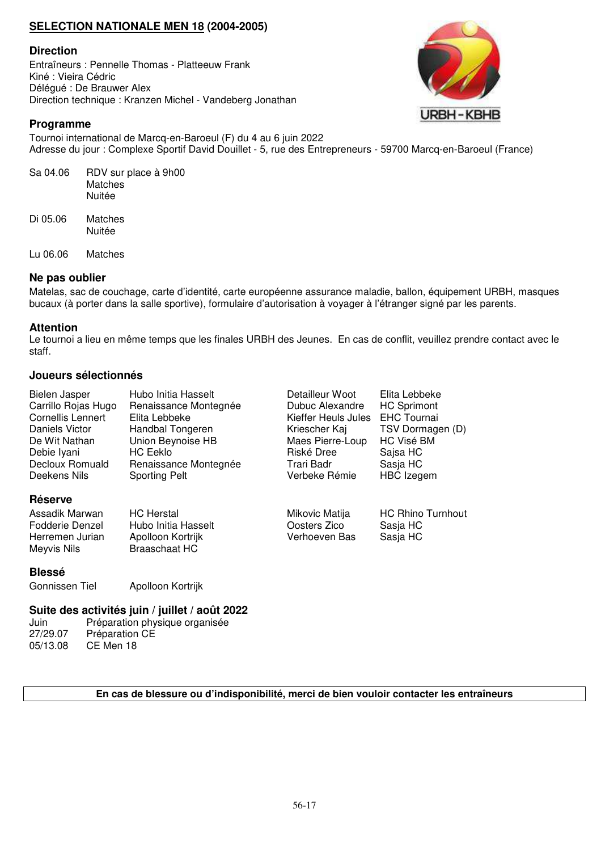# **SELECTION NATIONALE MEN 18 (2004-2005)**

### **Direction**

Entraîneurs : Pennelle Thomas - Platteeuw Frank Kiné : Vieira Cédric Délégué : De Brauwer Alex Direction technique : Kranzen Michel - Vandeberg Jonathan



### **Programme**

Tournoi international de Marcq-en-Baroeul (F) du 4 au 6 juin 2022 Adresse du jour : Complexe Sportif David Douillet - 5, rue des Entrepreneurs - 59700 Marcq-en-Baroeul (France)

| Sa 04.06 | RDV sur place à 9h00<br>Matches<br>Nuitée |
|----------|-------------------------------------------|
| Di 05.06 | Matches<br>Nuitée                         |

Lu 06.06 Matches

### **Ne pas oublier**

Matelas, sac de couchage, carte d'identité, carte européenne assurance maladie, ballon, équipement URBH, masques bucaux (à porter dans la salle sportive), formulaire d'autorisation à voyager à l'étranger signé par les parents.

### **Attention**

Le tournoi a lieu en même temps que les finales URBH des Jeunes. En cas de conflit, veuillez prendre contact avec le staff.

### **Joueurs sélectionnés**

| Bielen Jasper                                                                         | Hubo Initia Hasselt                                                                   | Detailleur Woot                                 | Elita Lebbeke                                    |
|---------------------------------------------------------------------------------------|---------------------------------------------------------------------------------------|-------------------------------------------------|--------------------------------------------------|
| Carrillo Rojas Hugo                                                                   | Renaissance Montegnée                                                                 | Dubuc Alexandre                                 | <b>HC Sprimont</b>                               |
| <b>Cornellis Lennert</b>                                                              | Elita Lebbeke                                                                         | Kieffer Heuls Jules                             | <b>EHC Tournai</b>                               |
| Daniels Victor                                                                        | Handbal Tongeren                                                                      | Kriescher Kaj                                   | TSV Dormagen (D)                                 |
| De Wit Nathan                                                                         | Union Beynoise HB                                                                     | Maes Pierre-Loup                                | HC Visé BM                                       |
| Debie Iyani                                                                           | HC Eeklo                                                                              | Riské Dree                                      | Sajsa HC                                         |
| Decloux Romuald                                                                       | Renaissance Montegnée                                                                 | Trari Badr                                      | Sasja HC                                         |
| Deekens Nils                                                                          | <b>Sporting Pelt</b>                                                                  | Verbeke Rémie                                   | HBC Izegem                                       |
| <b>Réserve</b><br>Assadik Marwan<br>Fodderie Denzel<br>Herremen Jurian<br>Meyvis Nils | <b>HC</b> Herstal<br>Hubo Initia Hasselt<br>Apolloon Kortrijk<br><b>Braaschaat HC</b> | Mikovic Matija<br>Oosters Zico<br>Verhoeven Bas | <b>HC Rhino Turnhout</b><br>Sasja HC<br>Sasja HC |

### **Blessé**

Gonnissen Tiel Apolloon Kortrijk

# **Suite des activités juin / juillet / août 2022**

Juin Préparation physique organisée 27/29.07 Préparation CE 05/13.08 CE Men 18

### **En cas de blessure ou d'indisponibilité, merci de bien vouloir contacter les entraîneurs**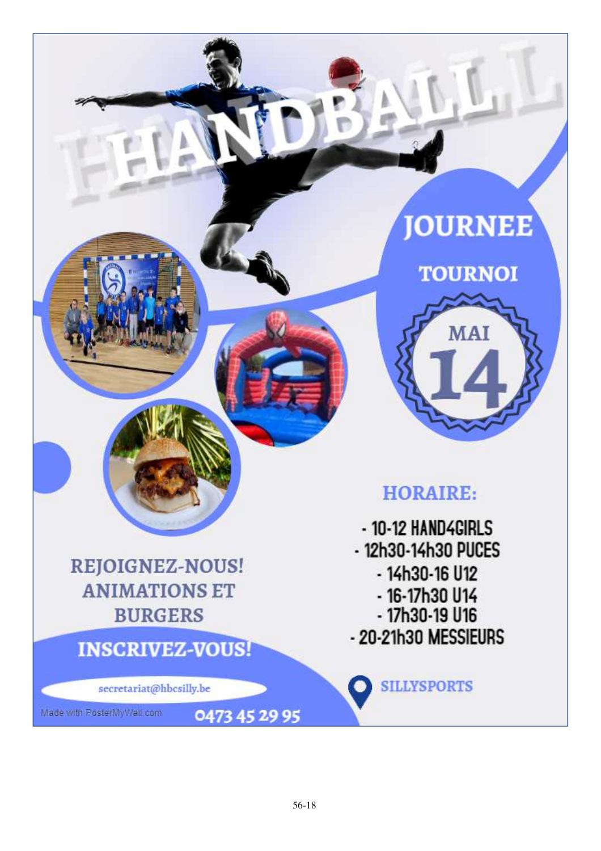